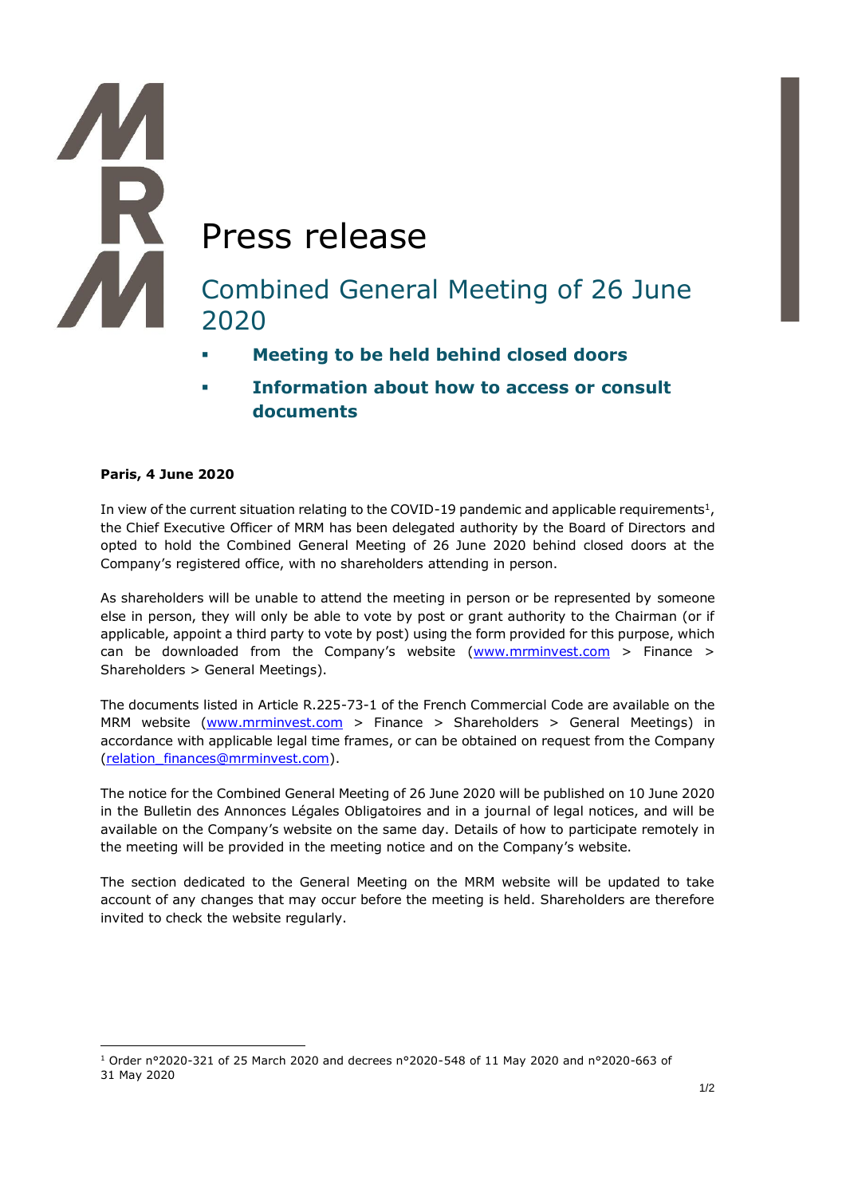# Press release Combined General Meeting of 26 June 2020

- **Meeting to be held behind closed doors**
- **Information about how to access or consult documents**

# **Paris, 4 June 2020**

In view of the current situation relating to the COVID-19 pandemic and applicable requirements<sup>1</sup>, the Chief Executive Officer of MRM has been delegated authority by the Board of Directors and opted to hold the Combined General Meeting of 26 June 2020 behind closed doors at the Company's registered office, with no shareholders attending in person.

As shareholders will be unable to attend the meeting in person or be represented by someone else in person, they will only be able to vote by post or grant authority to the Chairman (or if applicable, appoint a third party to vote by post) using the form provided for this purpose, which can be downloaded from the Company's website  $(www.mrminvest.com > Finance >$ Shareholders > General Meetings).

The documents listed in Article R.225-73-1 of the French Commercial Code are available on the MRM website (www.mrminvest.com > Finance > Shareholders > General Meetings) in accordance with applicable legal time frames, or can be obtained on request from the Company [\(relation\\_finances@mrminvest.com\)](mailto:relation_finances@mrminvest.com).

The notice for the Combined General Meeting of 26 June 2020 will be published on 10 June 2020 in the Bulletin des Annonces Légales Obligatoires and in a journal of legal notices, and will be available on the Company's website on the same day. Details of how to participate remotely in the meeting will be provided in the meeting notice and on the Company's website.

The section dedicated to the General Meeting on the MRM website will be updated to take account of any changes that may occur before the meeting is held. Shareholders are therefore invited to check the website regularly.

<sup>1</sup> Order n°2020-321 of 25 March 2020 and decrees n°2020-548 of 11 May 2020 and n°2020-663 of 31 May 2020